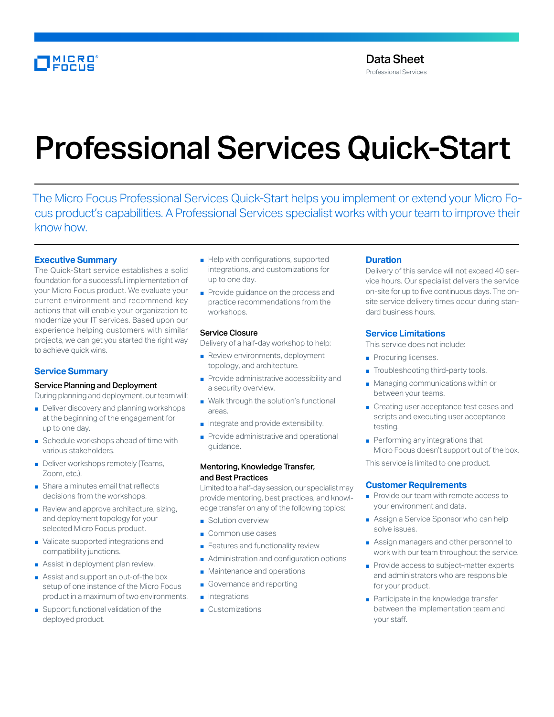# MICRO

# Professional Services Quick-Start

The Micro Focus Professional Services Quick-Start helps you implement or extend your Micro Focus product's capabilities. A Professional Services specialist works with your team to improve their know how.

## **Executive Summary**

The Quick-Start service establishes a solid foundation for a successful implementation of your Micro Focus product. We evaluate your current environment and recommend key actions that will enable your organization to modernize your IT services. Based upon our experience helping customers with similar projects, we can get you started the right way to achieve quick wins.

# **Service Summary**

#### Service Planning and Deployment

During planning and deployment, our team will:

- Deliver discovery and planning workshops at the beginning of the engagement for up to one day.
- Schedule workshops ahead of time with various stakeholders.
- Deliver workshops remotely (Teams, Zoom, etc.).
- Share a minutes email that reflects decisions from the workshops.
- Review and approve architecture, sizing, and deployment topology for your selected Micro Focus product.
- Validate supported integrations and compatibility junctions.
- Assist in deployment plan review.
- Assist and support an out-of-the box setup of one instance of the Micro Focus product in a maximum of two environments.
- Support functional validation of the deployed product.
- Help with configurations, supported integrations, and customizations for up to one day.
- Provide guidance on the process and practice recommendations from the workshops.

#### Service Closure

Delivery of a half-day workshop to help:

- Review environments, deployment topology, and architecture.
- Provide administrative accessibility and a security overview.
- Walk through the solution's functional areas.
- Integrate and provide extensibility.
- Provide administrative and operational guidance.

#### Mentoring, Knowledge Transfer, and Best Practices

Limited to a half-day session, our specialist may provide mentoring, best practices, and knowledge transfer on any of the following topics:

- Solution overview
- Common use cases
- Features and functionality review
- Administration and configuration options
- Maintenance and operations
- Governance and reporting
- Integrations
- Customizations

#### **Duration**

Delivery of this service will not exceed 40 service hours. Our specialist delivers the service on-site for up to five continuous days. The onsite service delivery times occur during standard business hours.

### **Service Limitations**

This service does not include:

- Procuring licenses.
- Troubleshooting third-party tools.
- Managing communications within or between your teams.
- Creating user acceptance test cases and scripts and executing user acceptance testing.
- Performing any integrations that Micro Focus doesn't support out of the box.

This service is limited to one product.

### **Customer Requirements**

- Provide our team with remote access to your environment and data.
- Assign a Service Sponsor who can help solve issues.
- Assign managers and other personnel to work with our team throughout the service.
- Provide access to subject-matter experts and administrators who are responsible for your product.
- Participate in the knowledge transfer between the implementation team and your staff.